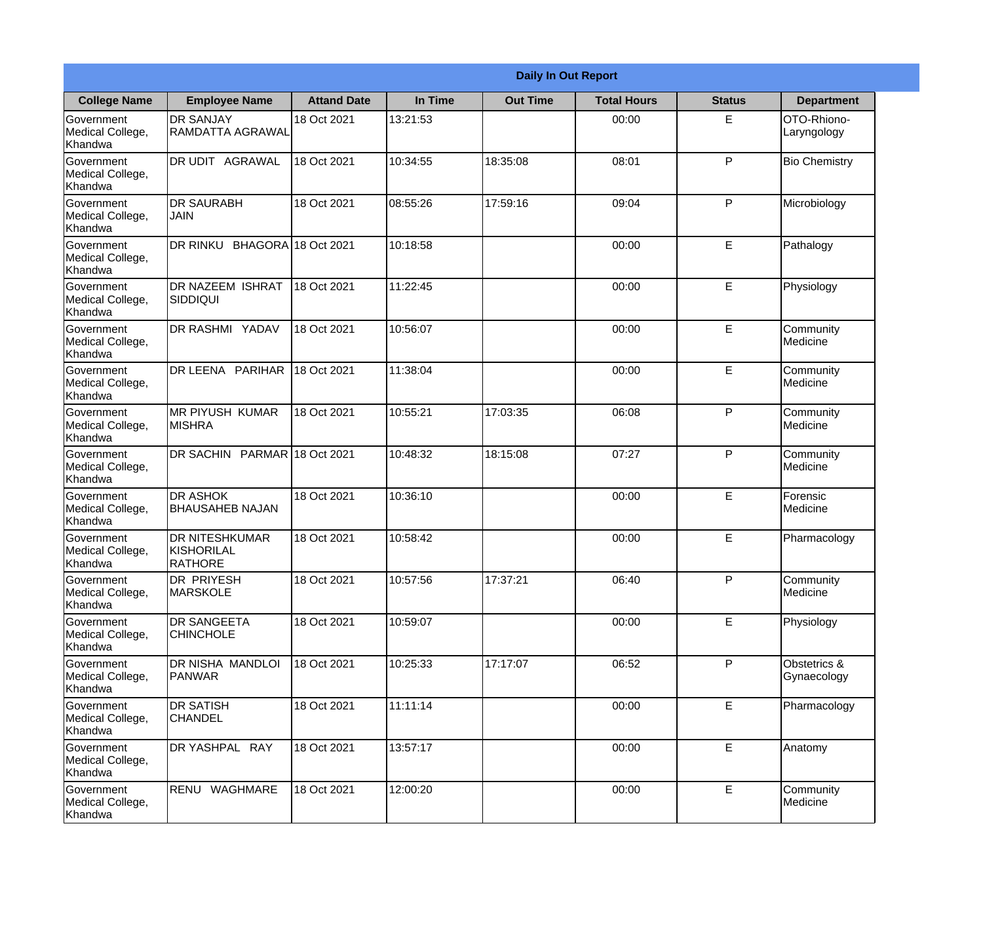|                                           | <b>Daily In Out Report</b>                                   |                     |          |                 |                    |               |                             |
|-------------------------------------------|--------------------------------------------------------------|---------------------|----------|-----------------|--------------------|---------------|-----------------------------|
| <b>College Name</b>                       | <b>Employee Name</b>                                         | <b>Attand Date</b>  | In Time  | <b>Out Time</b> | <b>Total Hours</b> | <b>Status</b> | <b>Department</b>           |
| Government<br>Medical College,<br>Khandwa | <b>DR SANJAY</b><br><b>RAMDATTA AGRAWAL</b>                  | 18 Oct 2021         | 13:21:53 |                 | 00:00              | E             | OTO-Rhiono-<br>Laryngology  |
| Government<br>Medical College,<br>Khandwa | DR UDIT AGRAWAL                                              | 18 Oct 2021         | 10:34:55 | 18:35:08        | 08:01              | P             | <b>Bio Chemistry</b>        |
| Government<br>Medical College,<br>Khandwa | <b>DR SAURABH</b><br><b>JAIN</b>                             | 18 Oct 2021         | 08:55:26 | 17:59:16        | 09:04              | P             | Microbiology                |
| Government<br>Medical College,<br>Khandwa | <b>DR RINKU</b>                                              | BHAGORA 18 Oct 2021 | 10:18:58 |                 | 00:00              | E             | Pathalogy                   |
| Government<br>Medical College,<br>Khandwa | <b>DR NAZEEM ISHRAT</b><br><b>SIDDIQUI</b>                   | 18 Oct 2021         | 11:22:45 |                 | 00:00              | E             | Physiology                  |
| Government<br>Medical College,<br>Khandwa | DR RASHMI YADAV                                              | 18 Oct 2021         | 10:56:07 |                 | 00:00              | E             | Community<br>Medicine       |
| Government<br>Medical College,<br>Khandwa | DR LEENA PARIHAR                                             | 18 Oct 2021         | 11:38:04 |                 | 00:00              | E             | Community<br>Medicine       |
| Government<br>Medical College,<br>Khandwa | <b>MR PIYUSH KUMAR</b><br><b>MISHRA</b>                      | 18 Oct 2021         | 10:55:21 | 17:03:35        | 06:08              | P             | Community<br>Medicine       |
| Government<br>Medical College,<br>Khandwa | DR SACHIN PARMAR 18 Oct 2021                                 |                     | 10:48:32 | 18:15:08        | 07:27              | P             | Community<br>Medicine       |
| Government<br>Medical College,<br>Khandwa | <b>DR ASHOK</b><br><b>BHAUSAHEB NAJAN</b>                    | 18 Oct 2021         | 10:36:10 |                 | 00:00              | E             | Forensic<br>Medicine        |
| Government<br>Medical College,<br>Khandwa | <b>DR NITESHKUMAR</b><br><b>KISHORILAL</b><br><b>RATHORE</b> | 18 Oct 2021         | 10:58:42 |                 | 00:00              | E             | Pharmacology                |
| Government<br>Medical College,<br>Khandwa | DR PRIYESH<br><b>MARSKOLE</b>                                | 18 Oct 2021         | 10:57:56 | 17:37:21        | 06:40              | P             | Community<br>Medicine       |
| Government<br>Medical College,<br>Khandwa | <b>DR SANGEETA</b><br><b>CHINCHOLE</b>                       | 18 Oct 2021         | 10:59:07 |                 | 00:00              | E             | Physiology                  |
| Government<br>Medical College,<br>Khandwa | DR NISHA MANDLOI<br><b>PANWAR</b>                            | 18 Oct 2021         | 10:25:33 | 17:17:07        | 06:52              | P             | Obstetrics &<br>Gynaecology |
| Government<br>Medical College,<br>Khandwa | <b>DR SATISH</b><br><b>CHANDEL</b>                           | 18 Oct 2021         | 11:11:14 |                 | 00:00              | E             | Pharmacology                |
| Government<br>Medical College,<br>Khandwa | DR YASHPAL RAY                                               | 18 Oct 2021         | 13:57:17 |                 | 00:00              | E             | Anatomy                     |
| Government<br>Medical College,<br>Khandwa | RENU WAGHMARE                                                | 18 Oct 2021         | 12:00:20 |                 | 00:00              | E             | Community<br>Medicine       |